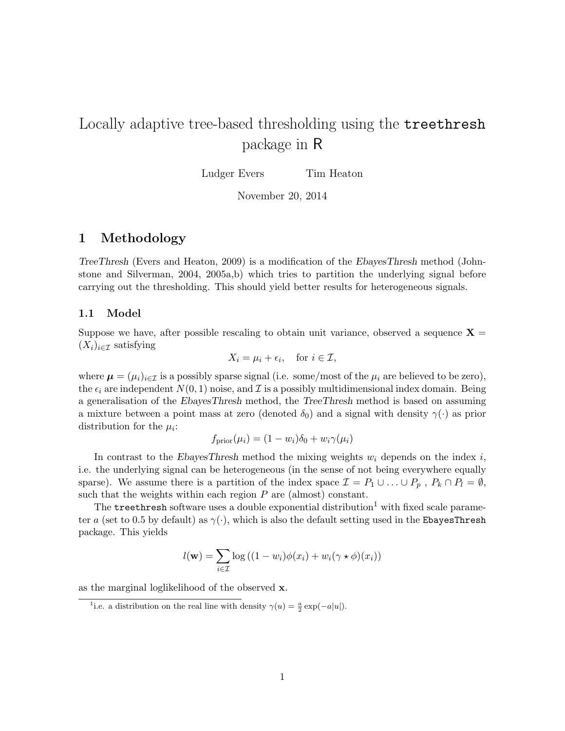# Locally adaptive tree-based thresholding using the treethresh package in R

Ludger Evers Tim Heaton

November 20, 2014

# 1 Methodology

TreeThresh (Evers and Heaton, 2009) is a modification of the EbayesThresh method (Johnstone and Silverman, 2004, 2005a,b) which tries to partition the underlying signal before carrying out the thresholding. This should yield better results for heterogeneous signals.

### 1.1 Model

Suppose we have, after possible rescaling to obtain unit variance, observed a sequence  $X =$  $(X_i)_{i\in\mathcal{I}}$  satisfying

$$
X_i = \mu_i + \epsilon_i, \quad \text{for } i \in \mathcal{I},
$$

where  $\mu = (\mu_i)_{i \in \mathcal{I}}$  is a possibly sparse signal (i.e. some/most of the  $\mu_i$  are believed to be zero), the  $\epsilon_i$  are independent  $N(0, 1)$  noise, and  $\mathcal I$  is a possibly multidimensional index domain. Being a generalisation of the EbayesThresh method, the TreeThresh method is based on assuming a mixture between a point mass at zero (denoted  $\delta_0$ ) and a signal with density  $\gamma(\cdot)$  as prior distribution for the  $\mu_i$ :

$$
f_{\text{prior}}(\mu_i) = (1 - w_i)\delta_0 + w_i \gamma(\mu_i)
$$

In contrast to the EbayesThresh method the mixing weights  $w_i$  depends on the index i, i.e. the underlying signal can be heterogeneous (in the sense of not being everywhere equally sparse). We assume there is a partition of the index space  $\mathcal{I} = P_1 \cup ... \cup P_p$ ,  $P_k \cap P_l = \emptyset$ , such that the weights within each region  $P$  are (almost) constant.

The treethresh software uses a double exponential distribution<sup>1</sup> with fixed scale parameter a (set to 0.5 by default) as  $\gamma(\cdot)$ , which is also the default setting used in the EbayesThresh package. This yields

$$
l(\mathbf{w}) = \sum_{i \in \mathcal{I}} \log ((1 - w_i) \phi(x_i) + w_i (\gamma \star \phi)(x_i))
$$

as the marginal loglikelihood of the observed x.

<sup>&</sup>lt;sup>1</sup>i.e. a distribution on the real line with density  $\gamma(u) = \frac{a}{2} \exp(-a|u|)$ .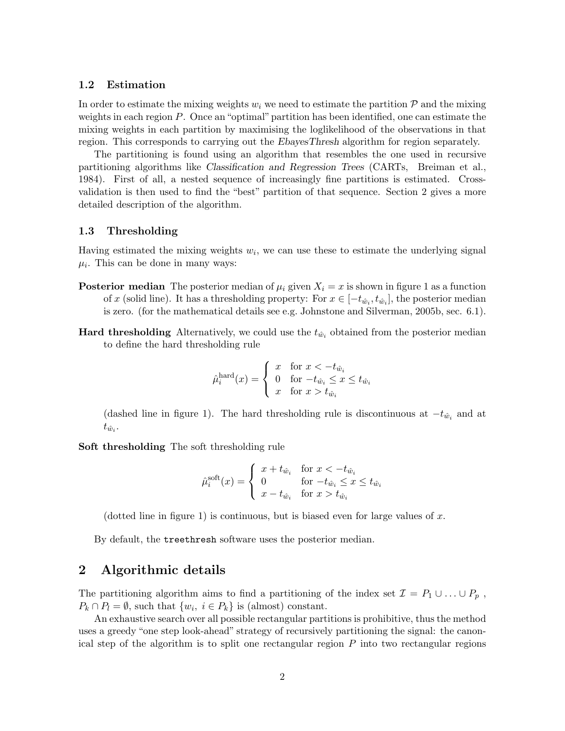#### 1.2 Estimation

In order to estimate the mixing weights  $w_i$  we need to estimate the partition  $P$  and the mixing weights in each region  $P$ . Once an "optimal" partition has been identified, one can estimate the mixing weights in each partition by maximising the loglikelihood of the observations in that region. This corresponds to carrying out the EbayesThresh algorithm for region separately.

The partitioning is found using an algorithm that resembles the one used in recursive partitioning algorithms like Classification and Regression Trees (CARTs, Breiman et al., 1984). First of all, a nested sequence of increasingly fine partitions is estimated. Crossvalidation is then used to find the "best" partition of that sequence. Section 2 gives a more detailed description of the algorithm.

#### 1.3 Thresholding

Having estimated the mixing weights  $w_i$ , we can use these to estimate the underlying signal  $\mu_i$ . This can be done in many ways:

- **Posterior median** The posterior median of  $\mu_i$  given  $X_i = x$  is shown in figure 1 as a function of x (solid line). It has a thresholding property: For  $x \in [-t_{\hat{w}_i}, t_{\hat{w}_i}]$ , the posterior median is zero. (for the mathematical details see e.g. Johnstone and Silverman, 2005b, sec. 6.1).
- **Hard thresholding** Alternatively, we could use the  $t_{\hat{w}_i}$  obtained from the posterior median to define the hard thresholding rule

$$
\hat{\mu}_i^{\text{hard}}(x) = \begin{cases}\nx & \text{for } x < -t_{\hat{w}_i} \\
0 & \text{for } -t_{\hat{w}_i} \le x \le t_{\hat{w}_i} \\
x & \text{for } x > t_{\hat{w}_i}\n\end{cases}
$$

(dashed line in figure 1). The hard thresholding rule is discontinuous at  $-t_{\hat{w}_i}$  and at  $t_{\hat{w}_i}$ .

Soft thresholding The soft thresholding rule

$$
\hat{\mu}_i^{\text{soft}}(x) = \begin{cases}\n x + t_{\hat{w}_i} & \text{for } x < -t_{\hat{w}_i} \\
 0 & \text{for } -t_{\hat{w}_i} \leq x \leq t_{\hat{w}_i} \\
 x - t_{\hat{w}_i} & \text{for } x > t_{\hat{w}_i}\n\end{cases}
$$

(dotted line in figure 1) is continuous, but is biased even for large values of x.

By default, the treethresh software uses the posterior median.

# 2 Algorithmic details

The partitioning algorithm aims to find a partitioning of the index set  $\mathcal{I} = P_1 \cup \ldots \cup P_p$ ,  $P_k \cap P_l = \emptyset$ , such that  $\{w_i, i \in P_k\}$  is (almost) constant.

An exhaustive search over all possible rectangular partitions is prohibitive, thus the method uses a greedy "one step look-ahead" strategy of recursively partitioning the signal: the canonical step of the algorithm is to split one rectangular region  $P$  into two rectangular regions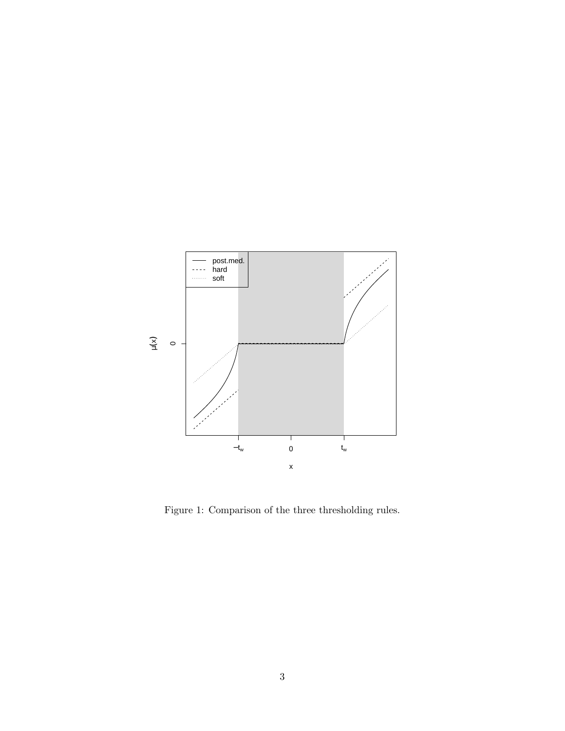

Figure 1: Comparison of the three thresholding rules.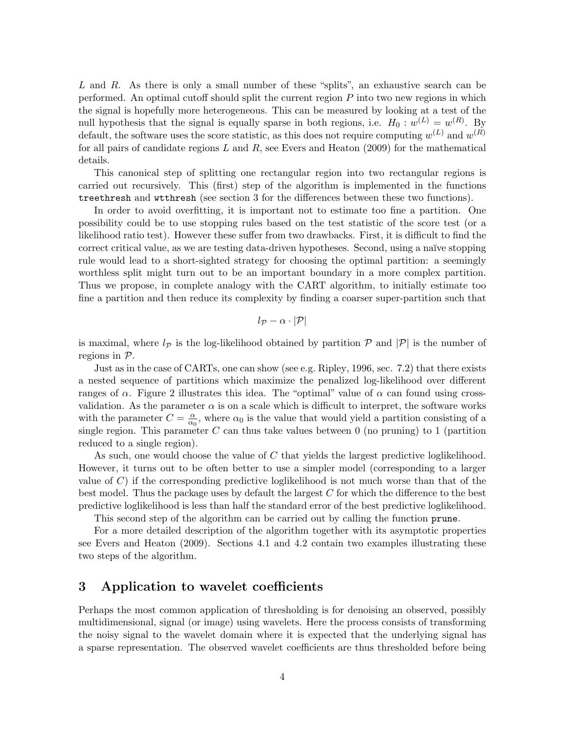L and R. As there is only a small number of these "splits", an exhaustive search can be performed. An optimal cutoff should split the current region  $P$  into two new regions in which the signal is hopefully more heterogeneous. This can be measured by looking at a test of the null hypothesis that the signal is equally sparse in both regions, i.e.  $H_0: w^{(L)} = w^{(R)}$ . By default, the software uses the score statistic, as this does not require computing  $w^{(L)}$  and  $w^{(R)}$ for all pairs of candidate regions  $L$  and  $R$ , see Evers and Heaton (2009) for the mathematical details.

This canonical step of splitting one rectangular region into two rectangular regions is carried out recursively. This (first) step of the algorithm is implemented in the functions treethresh and wtthresh (see section 3 for the differences between these two functions).

In order to avoid overfitting, it is important not to estimate too fine a partition. One possibility could be to use stopping rules based on the test statistic of the score test (or a likelihood ratio test). However these suffer from two drawbacks. First, it is difficult to find the correct critical value, as we are testing data-driven hypotheses. Second, using a naïve stopping rule would lead to a short-sighted strategy for choosing the optimal partition: a seemingly worthless split might turn out to be an important boundary in a more complex partition. Thus we propose, in complete analogy with the CART algorithm, to initially estimate too fine a partition and then reduce its complexity by finding a coarser super-partition such that

$$
l_{\mathcal{P}}-\alpha\cdot|\mathcal{P}|
$$

is maximal, where  $l_p$  is the log-likelihood obtained by partition  $\mathcal P$  and  $|\mathcal P|$  is the number of regions in P.

Just as in the case of CARTs, one can show (see e.g. Ripley, 1996, sec. 7.2) that there exists a nested sequence of partitions which maximize the penalized log-likelihood over different ranges of α. Figure 2 illustrates this idea. The "optimal" value of α can found using crossvalidation. As the parameter  $\alpha$  is on a scale which is difficult to interpret, the software works with the parameter  $C = \frac{\alpha}{\alpha}$  $\frac{\alpha}{\alpha_0}$ , where  $\alpha_0$  is the value that would yield a partition consisting of a single region. This parameter  $C$  can thus take values between  $0$  (no pruning) to 1 (partition reduced to a single region).

As such, one would choose the value of C that yields the largest predictive loglikelihood. However, it turns out to be often better to use a simpler model (corresponding to a larger value of  $C$ ) if the corresponding predictive loglikelihood is not much worse than that of the best model. Thus the package uses by default the largest  $C$  for which the difference to the best predictive loglikelihood is less than half the standard error of the best predictive loglikelihood.

This second step of the algorithm can be carried out by calling the function prune.

For a more detailed description of the algorithm together with its asymptotic properties see Evers and Heaton (2009). Sections 4.1 and 4.2 contain two examples illustrating these two steps of the algorithm.

# 3 Application to wavelet coefficients

Perhaps the most common application of thresholding is for denoising an observed, possibly multidimensional, signal (or image) using wavelets. Here the process consists of transforming the noisy signal to the wavelet domain where it is expected that the underlying signal has a sparse representation. The observed wavelet coefficients are thus thresholded before being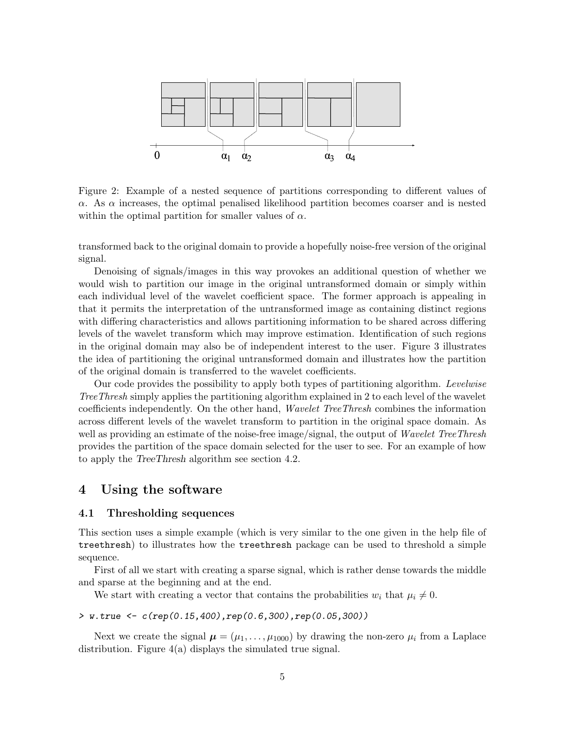

Figure 2: Example of a nested sequence of partitions corresponding to different values of  $\alpha$ . As  $\alpha$  increases, the optimal penalised likelihood partition becomes coarser and is nested within the optimal partition for smaller values of  $\alpha$ .

transformed back to the original domain to provide a hopefully noise-free version of the original signal.

Denoising of signals/images in this way provokes an additional question of whether we would wish to partition our image in the original untransformed domain or simply within each individual level of the wavelet coefficient space. The former approach is appealing in that it permits the interpretation of the untransformed image as containing distinct regions with differing characteristics and allows partitioning information to be shared across differing levels of the wavelet transform which may improve estimation. Identification of such regions in the original domain may also be of independent interest to the user. Figure 3 illustrates the idea of partitioning the original untransformed domain and illustrates how the partition of the original domain is transferred to the wavelet coefficients.

Our code provides the possibility to apply both types of partitioning algorithm. Levelwise TreeThresh simply applies the partitioning algorithm explained in 2 to each level of the wavelet coefficients independently. On the other hand, Wavelet TreeThresh combines the information across different levels of the wavelet transform to partition in the original space domain. As well as providing an estimate of the noise-free image/signal, the output of *Wavelet TreeThresh* provides the partition of the space domain selected for the user to see. For an example of how to apply the TreeThresh algorithm see section 4.2.

# 4 Using the software

## 4.1 Thresholding sequences

This section uses a simple example (which is very similar to the one given in the help file of treethresh) to illustrates how the treethresh package can be used to threshold a simple sequence.

First of all we start with creating a sparse signal, which is rather dense towards the middle and sparse at the beginning and at the end.

We start with creating a vector that contains the probabilities  $w_i$  that  $\mu_i \neq 0$ .

> w.true <- c(rep(0.15,400),rep(0.6,300),rep(0.05,300))

Next we create the signal  $\mu = (\mu_1, \ldots, \mu_{1000})$  by drawing the non-zero  $\mu_i$  from a Laplace distribution. Figure 4(a) displays the simulated true signal.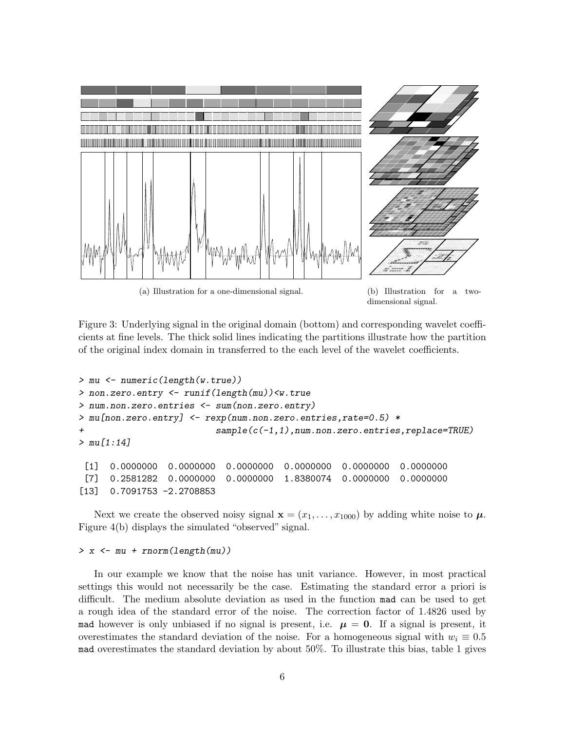

(a) Illustration for a one-dimensional signal. (b) Illustration for a two-

dimensional signal.

Figure 3: Underlying signal in the original domain (bottom) and corresponding wavelet coefficients at fine levels. The thick solid lines indicating the partitions illustrate how the partition of the original index domain in transferred to the each level of the wavelet coefficients.

```
> mu <- numeric(length(w.true))
> non.zero.entry <- runif(length(mu))<w.true
> num.non.zero.entries <- sum(non.zero.entry)
> mu[non.zero.entry] <- rexp(num.non.zero.entries,rate=0.5) *
+ sample(c(-1,1),num.non.zero.entries,replace=TRUE)
> mu[1:14][1] 0.0000000 0.0000000 0.0000000 0.0000000 0.0000000 0.0000000
 [7] 0.2581282 0.0000000 0.0000000 1.8380074 0.0000000 0.0000000
```
[13] 0.7091753 -2.2708853

Next we create the observed noisy signal  $\mathbf{x} = (x_1, \ldots, x_{1000})$  by adding white noise to  $\mu$ . Figure 4(b) displays the simulated "observed" signal.

### $> x < -mu + rnorm(length(mu))$

In our example we know that the noise has unit variance. However, in most practical settings this would not necessarily be the case. Estimating the standard error a priori is difficult. The medium absolute deviation as used in the function mad can be used to get a rough idea of the standard error of the noise. The correction factor of 1.4826 used by mad however is only unbiased if no signal is present, i.e.  $\mu = 0$ . If a signal is present, it overestimates the standard deviation of the noise. For a homogeneous signal with  $w_i \equiv 0.5$ mad overestimates the standard deviation by about 50%. To illustrate this bias, table 1 gives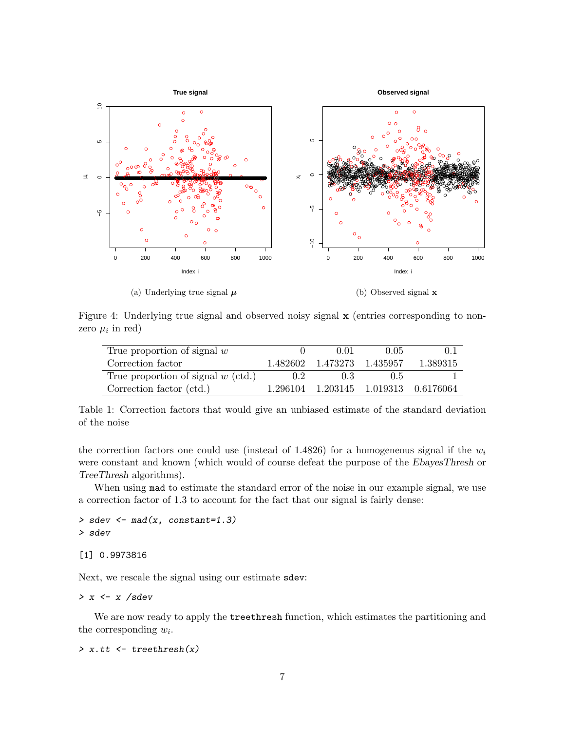

(a) Underlying true signal  $\mu$ 

(b) Observed signal x

Figure 4: Underlying true signal and observed noisy signal  $\bf{x}$  (entries corresponding to nonzero  $\mu_i$  in red)

| True proportion of signal $w$        |          | 0.01              | 0.05 | (0.1)                       |
|--------------------------------------|----------|-------------------|------|-----------------------------|
| Correction factor                    | 1.482602 | 1.473273 1.435957 |      | 1.389315                    |
| True proportion of signal $w$ (ctd.) | 02       | 0.3               | 0.5  |                             |
| Correction factor (ctd.)             | 1.296104 |                   |      | 1.203145 1.019313 0.6176064 |

Table 1: Correction factors that would give an unbiased estimate of the standard deviation of the noise

the correction factors one could use (instead of 1.4826) for a homogeneous signal if the  $w_i$ were constant and known (which would of course defeat the purpose of the EbayesThresh or TreeThresh algorithms).

When using mad to estimate the standard error of the noise in our example signal, we use a correction factor of 1.3 to account for the fact that our signal is fairly dense:

 $>$  sdev  $<-$  mad(x, constant=1.3) > sdev

[1] 0.9973816

Next, we rescale the signal using our estimate sdev:

 $> x \leftarrow x / sdev$ 

We are now ready to apply the treethresh function, which estimates the partitioning and the corresponding  $w_i$ .

 $> x.t$   $\leftarrow$  treethresh $(x)$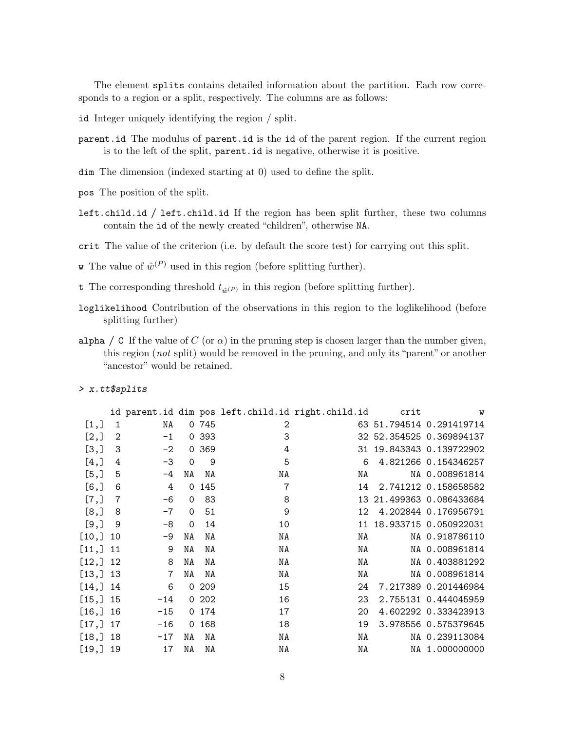The element splits contains detailed information about the partition. Each row corresponds to a region or a split, respectively. The columns are as follows:

- id Integer uniquely identifying the region / split.
- parent.id The modulus of parent.id is the id of the parent region. If the current region is to the left of the split, parent.id is negative, otherwise it is positive.
- dim The dimension (indexed starting at 0) used to define the split.
- pos The position of the split.
- left.child.id / left.child.id If the region has been split further, these two columns contain the id of the newly created "children", otherwise NA.
- crit The value of the criterion (i.e. by default the score test) for carrying out this split.
- **w** The value of  $\hat{w}^{(P)}$  used in this region (before splitting further).
- t The corresponding threshold  $t_{\hat{w}^{(P)}}$  in this region (before splitting further).
- loglikelihood Contribution of the observations in this region to the loglikelihood (before splitting further)
- alpha / C If the value of C (or  $\alpha$ ) in the pruning step is chosen larger than the number given, this region (not split) would be removed in the pruning, and only its "parent" or another "ancestor" would be retained.

#### > x.tt\$splits

|           |     |       |             |       |    | id parent.id dim pos left.child.id right.child.id | crit | $\boldsymbol{\mathrm{w}}$ |
|-----------|-----|-------|-------------|-------|----|---------------------------------------------------|------|---------------------------|
| [1,]      | 1   | NA    |             | 0 745 | 2  |                                                   |      | 63 51.794514 0.291419714  |
| [2,]      | 2   | $-1$  |             | 0 393 | 3  |                                                   |      | 32 52.354525 0.369894137  |
| [3,]      | 3   | $-2$  |             | 0.369 | 4  | 31                                                |      | 19.843343 0.139722902     |
| [4,]      | 4   | $-3$  | $\mathbf 0$ | 9     | 5  | 6                                                 |      | 4.821266 0.154346257      |
| [5,]      | 5   | -4    | ΝA          | ΝA    | NA | NA                                                |      | NA 0.008961814            |
| $[6,$ ]   | 6   | 4     |             | 0 145 | 7  | 14                                                |      | 2.741212 0.158658582      |
| [7,]      | 7   | $-6$  | 0           | 83    | 8  | 13                                                |      | 21.499363 0.086433684     |
| [8,]      | 8   | $-7$  | $\mathbf 0$ | 51    | 9  | 12.                                               |      | 4.202844 0.176956791      |
| [9,]      | 9   | $-8$  | $\Omega$    | 14    | 10 | 11                                                |      | 18.933715 0.050922031     |
| [10,]     | 10  | -9    | NA          | ΝA    | NA | NA                                                |      | NA 0.918786110            |
| [11,]     | 11  | 9     | NA          | NA    | NA | NA                                                |      | NA 0.008961814            |
| [12, 112] |     | 8     | ΝA          | NA    | NA | NA                                                |      | NA 0.403881292            |
| [13, ] 13 |     | 7     | ΝA          | NA    | NA | NA                                                |      | NA 0.008961814            |
| [14, 114] |     | 6     |             | 0209  | 15 | 24                                                |      | 7.217389 0.201446984      |
| [15,] 15  |     | $-14$ |             | 0202  | 16 | 23                                                |      | 2.755131 0.444045959      |
| [16,      | 16  | $-15$ |             | 0 174 | 17 | 20                                                |      | 4.602292 0.333423913      |
| [17,]     | 17  | $-16$ |             | 0.168 | 18 | 19                                                |      | 3.978556 0.575379645      |
| [18,]     | 18  | $-17$ | NA          | NA    | NA | NA                                                |      | NA 0.239113084            |
| [19,]     | -19 | 17    | ΝA          | ΝA    | NA | NA                                                |      | NA 1.000000000            |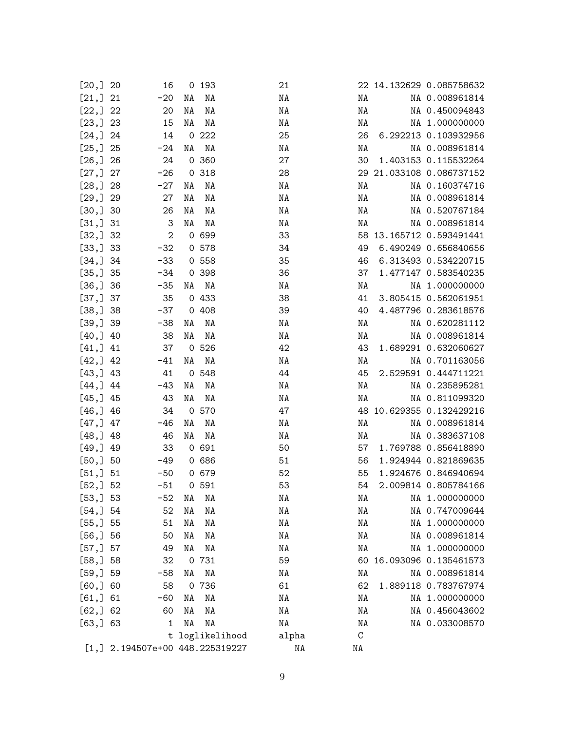| [20, 320]   | 16           |    | 0 193                            | 21 |       |    | 22 14.132629 0.085758632 |                      |
|-------------|--------------|----|----------------------------------|----|-------|----|--------------------------|----------------------|
| [21, ] 21   | $-20$        | NA | ΝA                               | NA |       | NA |                          | NA 0.008961814       |
| $[22, ]$ 22 | 20           | NA | ΝA                               | NA |       | NA |                          | NA 0.450094843       |
| [23, ]23    | 15           | NA | ΝA                               | ΝA |       | NA |                          | NA 1.000000000       |
| [24, 324]   | 14           |    | 0222                             | 25 |       | 26 |                          | 6.292213 0.103932956 |
| [25,] 25    | $-24$        | ΝA | ΝA                               | ΝA |       | ΝA |                          | NA 0.008961814       |
| [26, 326]   | 24           |    | 0 360                            | 27 |       | 30 |                          | 1.403153 0.115532264 |
| [27, 327]   | $-26$        |    | 0 318                            | 28 |       |    | 29 21.033108 0.086737152 |                      |
| [28, 328]   | $-27$        | NA | ΝA                               | NA |       | ΝA |                          | NA 0.160374716       |
| [29,] 29    | 27           | NA | ΝA                               | ΝA |       | NA |                          | NA 0.008961814       |
| [30, 30]    | 26           | ΝA | NA                               | ΝA |       | NA |                          | NA 0.520767184       |
| [31, 31]    | 3            | ΝA | ΝA                               | ΝA |       | NA |                          | NA 0.008961814       |
| [32, 32]    | $\mathbf{2}$ |    | 0 699                            | 33 |       |    | 58 13.165712 0.593491441 |                      |
| [33, 33]    | $-32$        |    | 0 578                            | 34 |       | 49 |                          | 6.490249 0.656840656 |
| [34, 34]    | $-33$        |    | 0 558                            | 35 |       | 46 |                          | 6.313493 0.534220715 |
| [35,]35     | -34          |    | 0 398                            | 36 |       | 37 |                          | 1.477147 0.583540235 |
| [36, 36]    | $-35$        | NA | NA                               | NA |       | NA |                          | NA 1.000000000       |
| [37,]37     | 35           |    | 0 433                            | 38 |       | 41 |                          | 3.805415 0.562061951 |
| [38,]38     | -37          |    | 0408                             | 39 |       | 40 |                          | 4.487796 0.283618576 |
| [39,] 39    | -38          | NA | ΝA                               | NA |       | NA |                          | NA 0.620281112       |
| [40, 1, 40] | 38           | ΝA | NA                               | ΝA |       | NA |                          | NA 0.008961814       |
| [41, 141]   | 37           |    | 0526                             | 42 |       | 43 |                          | 1.689291 0.632060627 |
| [42, 142]   | $-41$        | ΝA | NA                               | ΝA |       | NA |                          | NA 0.701163056       |
| [43, 143]   | 41           |    | 0 548                            | 44 |       | 45 |                          | 2.529591 0.444711221 |
| [44, 144]   | -43          | ΝA | NA                               | NA |       | NA |                          | NA 0.235895281       |
| [45, 145]   | 43           | ΝA | NA                               | ΝA |       | NA |                          | NA 0.811099320       |
| [46, 346]   | 34           |    | 0 570                            | 47 |       |    | 48 10.629355 0.132429216 |                      |
| [47, 147]   | -46          | NA | ΝA                               | NA |       | NA |                          | NA 0.008961814       |
| [48, 148]   | 46           | ΝA | NA                               | NA |       | NA |                          | NA 0.383637108       |
| [49, 149]   | 33           |    | 0 691                            | 50 |       | 57 |                          | 1.769788 0.856418890 |
| [50, 350]   | -49          |    | 0 686                            | 51 |       | 56 |                          | 1.924944 0.821869635 |
| [51, ]51    | $-50$        |    | 0 679                            | 52 |       | 55 |                          | 1.924676 0.846940694 |
| [52, 352]   | $-51$        |    | 0591                             | 53 |       | 54 |                          | 2.009814 0.805784166 |
| [53, 353]   | -52          | ΝA | ΝA                               | NA |       | NA |                          | NA 1.000000000       |
| [54, 354]   | 52           | ΝA | ΝA                               | ΝA |       | ΝA |                          | NA 0.747009644       |
| [55,] 55    | 51           | NA | NA                               | NA |       | NA |                          | NA 1.000000000       |
| [56, 356]   | 50           | ΝA | ΝA                               | ΝA |       | NA |                          | NA 0.008961814       |
| [57,]57     | 49           | ΝA | ΝA                               | NA |       | ΝA |                          | NA 1.000000000       |
| [58, 358]   | 32           |    | 0 731                            | 59 |       |    | 60 16.093096 0.135461573 |                      |
| [59, 359]   | -58          | NA | NA                               | NA |       | NA |                          | NA 0.008961814       |
| [60, 360]   | 58           |    | 0 736                            | 61 |       | 62 |                          | 1.889118 0.783767974 |
| [61, 161]   | -60          | ΝA | ΝA                               | NA |       | NA |                          | NA 1.000000000       |
| [62, 362]   | 60           | NA | ΝA                               | NA |       | NA |                          | NA 0.456043602       |
| [63, 363]   | 1            | ΝA | NA                               | NA |       | ΝA |                          | NA 0.033008570       |
|             |              |    | t loglikelihood                  |    | alpha | C  |                          |                      |
|             |              |    | $[1, 2.194507e+00 448.225319227$ |    | NA    | NA |                          |                      |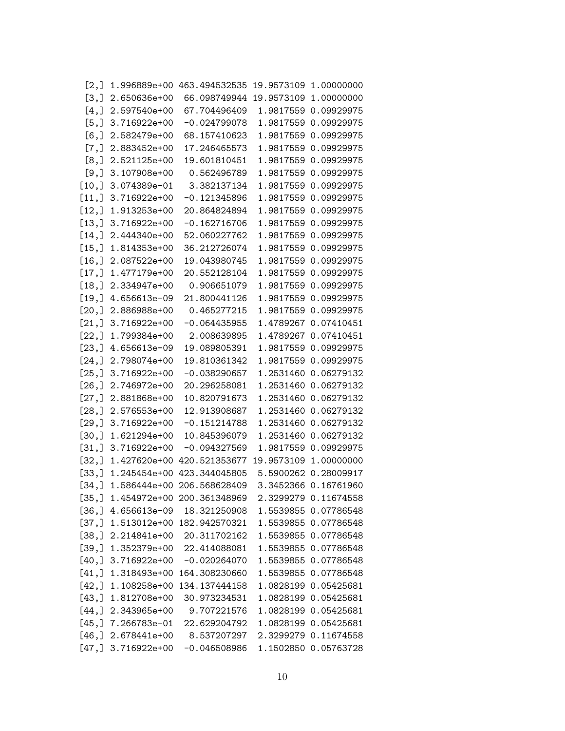| $\lfloor 2, \rfloor$ |                      | 1.996889e+00 463.494532535         |           | 19.9573109 1.00000000 |
|----------------------|----------------------|------------------------------------|-----------|-----------------------|
| [3,]                 | 2.650636e+00         | 66.098749944                       |           | 19.9573109 1.00000000 |
| $[4,$ ]              | 2.597540e+00         | 67.704496409                       |           | 1.9817559 0.09929975  |
| [5,]                 | 3.716922e+00         | $-0.024799078$                     |           | 1.9817559 0.09929975  |
| $[6,$ ]              | 2.582479e+00         | 68.157410623                       |           | 1.9817559 0.09929975  |
| $[7,$ ]              | 2.883452e+00         | 17.246465573                       |           | 1.9817559 0.09929975  |
| [8,]                 | 2.521125e+00         | 19.601810451                       |           | 1.9817559 0.09929975  |
| [9,]                 | 3.107908e+00         | 0.562496789                        |           | 1.9817559 0.09929975  |
| [10,]                | 3.074389e-01         | 3.382137134                        |           | 1.9817559 0.09929975  |
| $[11,]$              | 3.716922e+00         | $-0.121345896$                     |           | 1.9817559 0.09929975  |
| $[12,]$              | 1.913253e+00         | 20.864824894                       |           | 1.9817559 0.09929975  |
| [13,                 | 3.716922e+00         | -0.162716706                       |           | 1.9817559 0.09929975  |
| [14,]                | 2.444340e+00         | 52.060227762                       |           | 1.9817559 0.09929975  |
| [15,]                | 1.814353e+00         | 36.212726074                       | 1.9817559 | 0.09929975            |
| [16,]                | 2.087522e+00         | 19.043980745                       |           | 1.9817559 0.09929975  |
| $[17,]$              | 1.477179e+00         | 20.552128104                       |           | 1.9817559 0.09929975  |
| [18,]                | 2.334947e+00         | 0.906651079                        |           | 1.9817559 0.09929975  |
| [19,]                | 4.656613e-09         | 21.800441126                       |           | 1.9817559 0.09929975  |
| [20,]                | 2.886988e+00         | 0.465277215                        |           | 1.9817559 0.09929975  |
| [21,]                | 3.716922e+00         | $-0.064435955$                     |           | 1.4789267 0.07410451  |
| [22,]                | 1.799384e+00         | 2.008639895                        |           | 1.4789267 0.07410451  |
| [23,]                | 4.656613e-09         | 19.089805391                       |           | 1.9817559 0.09929975  |
| [24,]                | 2.798074e+00         | 19.810361342                       |           | 1.9817559 0.09929975  |
| [25,]                | 3.716922e+00         | $-0.038290657$                     |           | 1.2531460 0.06279132  |
| [26,]                | 2.746972e+00         | 20.296258081                       |           | 1.2531460 0.06279132  |
| [27,]                | 2.881868e+00         | 10.820791673                       |           | 1.2531460 0.06279132  |
| [28,]                | 2.576553e+00         | 12.913908687                       |           | 1.2531460 0.06279132  |
| [29,]                | 3.716922e+00         | $-0.151214788$                     |           | 1.2531460 0.06279132  |
| [30, ]               | 1.621294e+00         | 10.845396079                       |           | 1.2531460 0.06279132  |
| [31,]                | 3.716922e+00         | $-0.094327569$                     |           | 1.9817559 0.09929975  |
| [32,]                |                      | 1.427620e+00 420.521353677         |           | 19.9573109 1.00000000 |
| [33,]                | 1.245454e+00         | 423.344045805                      |           | 5.5900262 0.28009917  |
| [34,]                |                      | 1.586444e+00 206.568628409         |           | 3.3452366 0.16761960  |
|                      |                      | [35,] 1.454972e+00 200.361348969   |           | 2.3299279 0.11674558  |
|                      |                      | $[36,]$ 4.656613e-09 18.321250908  |           | 1.5539855 0.07786548  |
|                      |                      | $[37,] 1.513012e+00 182.942570321$ |           | 1.5539855 0.07786548  |
|                      | $[38,] 2.214841e+00$ | 20.311702162                       |           | 1.5539855 0.07786548  |
|                      |                      | $[39,] 1.352379e+00 22.414088081$  |           | 1.5539855 0.07786548  |
|                      | $[40,]$ 3.716922e+00 | -0.020264070                       |           | 1.5539855 0.07786548  |
|                      | $[41,] 1.318493e+00$ | 164.308230660                      |           | 1.5539855 0.07786548  |
| [42,                 | 1.108258e+00         | 134.137444158                      |           | 1.0828199 0.05425681  |
|                      | $[43,] 1.812708e+00$ | 30.973234531                       |           | 1.0828199 0.05425681  |
|                      | $[44,] 2.343965e+00$ | 9.707221576                        |           | 1.0828199 0.05425681  |
|                      | $[45,] 7.266783e-01$ | 22.629204792                       |           | 1.0828199 0.05425681  |
|                      | $[46,] 2.678441e+00$ | 8.537207297                        |           | 2.3299279 0.11674558  |
|                      | $[47,]$ 3.716922e+00 | -0.046508986                       |           | 1.1502850 0.05763728  |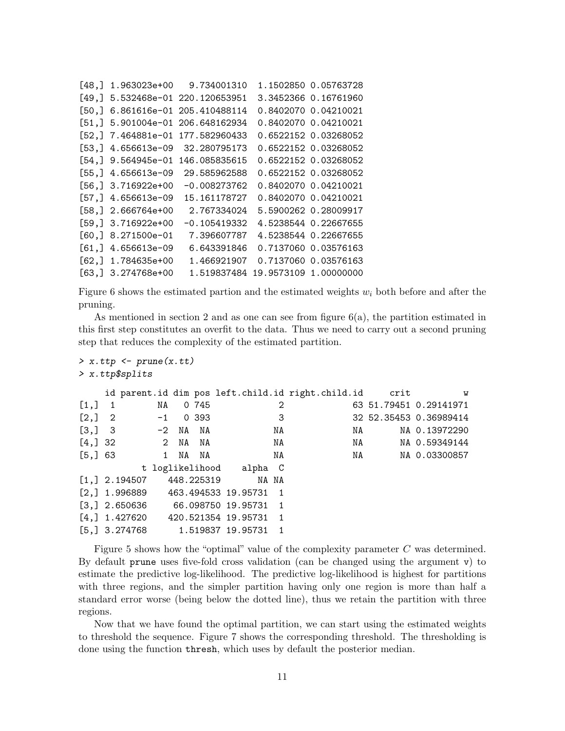| [48.1  | 1.963023e+00         | 9.734001310                |                       | 1.1502850 0.05763728 |
|--------|----------------------|----------------------------|-----------------------|----------------------|
| [49.1  |                      | 5.532468e-01 220.120653951 |                       | 3.3452366 0.16761960 |
| [50.]  |                      | 6.861616e-01 205.410488114 |                       | 0.8402070 0.04210021 |
| [51.]  |                      | 5.901004e-01 206.648162934 |                       | 0.8402070 0.04210021 |
|        | $[52,] 7.464881e-01$ | 177.582960433              |                       | 0.6522152 0.03268052 |
| [53,]  | 4.656613e-09         | 32.280795173               |                       | 0.6522152 0.03268052 |
| [54.1  | 9.564945e-01         | 146.085835615              |                       | 0.6522152 0.03268052 |
| [55.]  | 4.656613e-09         | 29.585962588               |                       | 0.6522152 0.03268052 |
|        | $[56,]$ 3.716922e+00 | $-0.008273762$             |                       | 0.8402070 0.04210021 |
| [57,]  | 4.656613e-09         | 15.161178727               |                       | 0.8402070 0.04210021 |
|        | $[58,]$ 2.666764e+00 | 2.767334024                |                       | 5.5900262 0.28009917 |
|        | $[59,]$ 3.716922e+00 | $-0.105419332$             |                       | 4.5238544 0.22667655 |
| [60, ] | 8.271500e-01         | 7.396607787                |                       | 4.5238544 0.22667655 |
| [61,]  | 4.656613e-09         | 6.643391846                |                       | 0.7137060 0.03576163 |
| [62.]  | 1.784635e+00         | 1.466921907                |                       | 0.7137060 0.03576163 |
| [63.]  | 3.274768e+00         | 1.519837484                | 19.9573109 1.00000000 |                      |

Figure 6 shows the estimated partion and the estimated weights  $w_i$  both before and after the pruning.

As mentioned in section 2 and as one can see from figure  $6(a)$ , the partition estimated in this first step constitutes an overfit to the data. Thus we need to carry out a second pruning step that reduces the complexity of the estimated partition.

```
> x.ttp \leftarrow prune(x.t)> x.ttp$splits
```

|                                           |                              |    |         |            |                                       |       | id parent.id dim pos left.child.id right.child.id crit |    | W                      |
|-------------------------------------------|------------------------------|----|---------|------------|---------------------------------------|-------|--------------------------------------------------------|----|------------------------|
| $\begin{bmatrix} 1, \end{bmatrix}$ 1      |                              | NA |         | 0 745      |                                       | 2     |                                                        |    | 63 51.79451 0.29141971 |
| $\begin{bmatrix} 2, \\ 2 \end{bmatrix}$ 2 |                              |    |         | $-1$ 0 393 |                                       | 3     |                                                        |    | 32 52.35453 0.36989414 |
|                                           | $[3, 3 \ 3 \ -2 \  NA \  NA$ |    |         |            |                                       | NA    | NA                                                     |    | NA 0.13972290          |
|                                           | $[4, 32$ 2 NA NA             |    |         |            |                                       | NA NA |                                                        | NA | NA 0.59349144          |
| [5, 363]                                  |                              |    | 1 NA NA |            |                                       | NA    |                                                        | NA | NA 0.03300857          |
|                                           |                              |    |         |            | t loglikelihood alpha C               |       |                                                        |    |                        |
|                                           |                              |    |         |            | $[1,] 2.194507 448.225319$ NA NA      |       |                                                        |    |                        |
|                                           |                              |    |         |            | $[2,]$ 1.996889 463.494533 19.95731 1 |       |                                                        |    |                        |
|                                           |                              |    |         |            | $[3,]$ 2.650636 66.098750 19.95731 1  |       |                                                        |    |                        |
|                                           |                              |    |         |            | $[4,]$ 1.427620 420.521354 19.95731 1 |       |                                                        |    |                        |
|                                           |                              |    |         |            | $[5,]$ 3.274768 1.519837 19.95731 1   |       |                                                        |    |                        |

Figure 5 shows how the "optimal" value of the complexity parameter C was determined. By default prune uses five-fold cross validation (can be changed using the argument v) to estimate the predictive log-likelihood. The predictive log-likelihood is highest for partitions with three regions, and the simpler partition having only one region is more than half a standard error worse (being below the dotted line), thus we retain the partition with three regions.

Now that we have found the optimal partition, we can start using the estimated weights to threshold the sequence. Figure 7 shows the corresponding threshold. The thresholding is done using the function thresh, which uses by default the posterior median.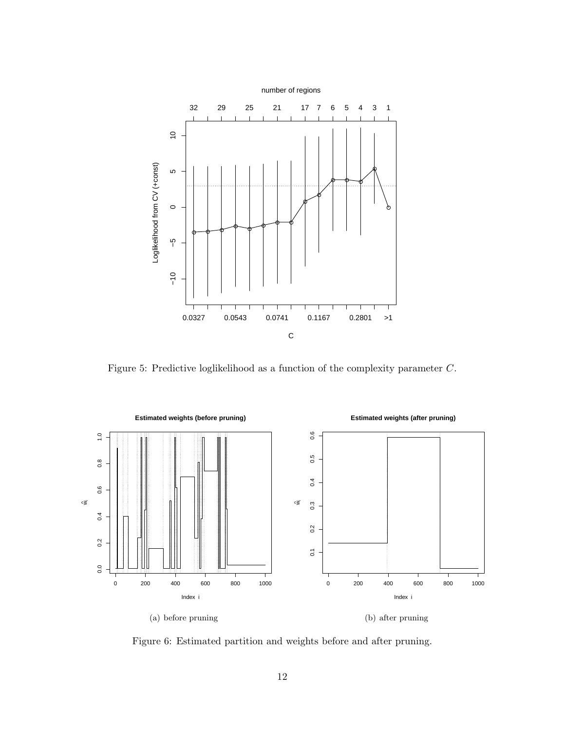

Figure 5: Predictive loglikelihood as a function of the complexity parameter C.



Figure 6: Estimated partition and weights before and after pruning.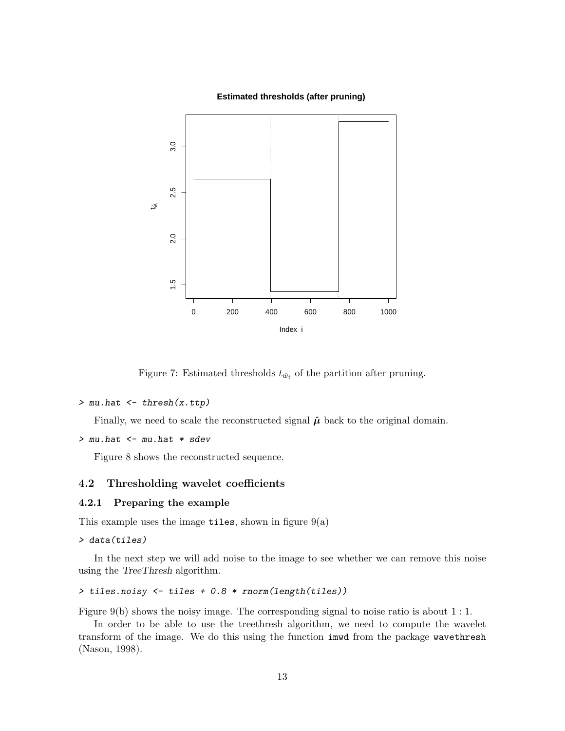

**Estimated thresholds (after pruning)**

Figure 7: Estimated thresholds  $t_{\hat{w}_i}$  of the partition after pruning.

```
> mu.hat <- thresh(x.ttp)
```
Finally, we need to scale the reconstructed signal  $\hat{\mu}$  back to the original domain.

```
> mu.hat <- mu.hat * sdev
```
Figure 8 shows the reconstructed sequence.

# 4.2 Thresholding wavelet coefficients

### 4.2.1 Preparing the example

This example uses the image tiles, shown in figure  $9(a)$ 

```
> data(tiles)
```
In the next step we will add noise to the image to see whether we can remove this noise using the TreeThresh algorithm.

> tiles.noisy <- tiles + 0.8 \* rnorm(length(tiles))

Figure 9(b) shows the noisy image. The corresponding signal to noise ratio is about 1 : 1.

In order to be able to use the treethresh algorithm, we need to compute the wavelet transform of the image. We do this using the function imwd from the package wavethresh (Nason, 1998).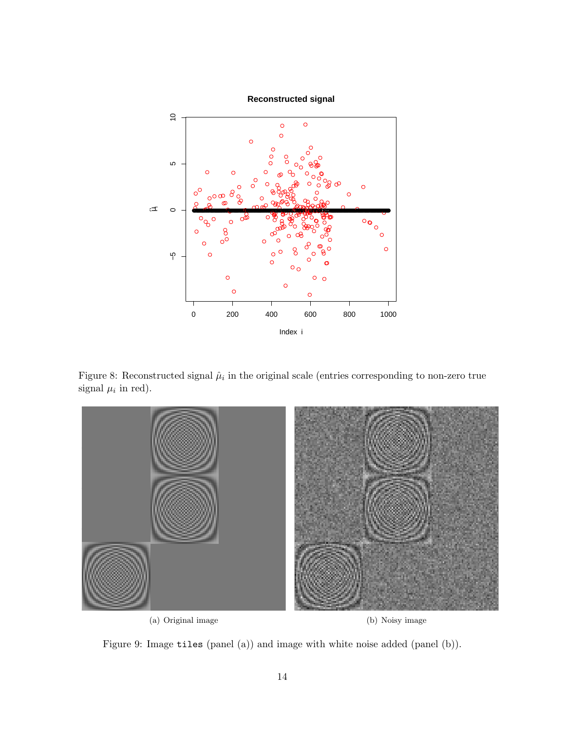

Figure 8: Reconstructed signal  $\hat{\mu}_i$  in the original scale (entries corresponding to non-zero true signal  $\mu_i$  in red).



Figure 9: Image tiles (panel (a)) and image with white noise added (panel (b)).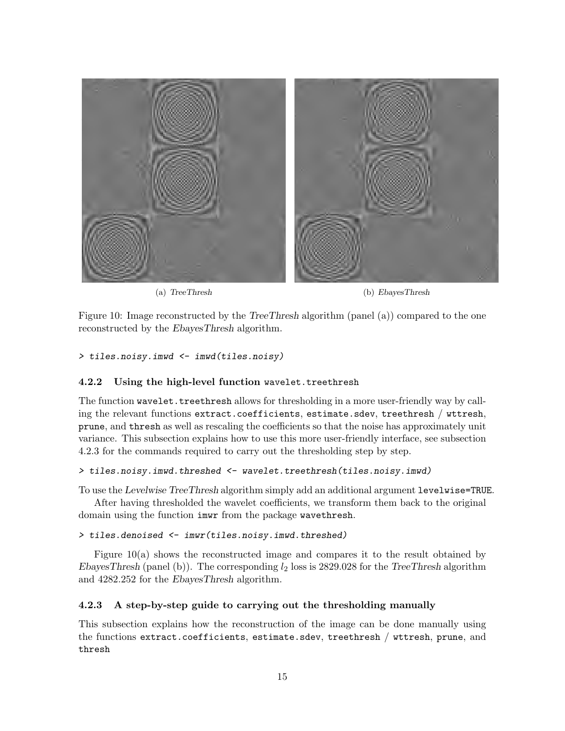

(a) TreeThresh (b) EbayesThresh

Figure 10: Image reconstructed by the TreeThresh algorithm (panel (a)) compared to the one reconstructed by the EbayesThresh algorithm.

> tiles.noisy.imwd <- imwd(tiles.noisy)

### 4.2.2 Using the high-level function wavelet.treethresh

The function wavelet.treethresh allows for thresholding in a more user-friendly way by calling the relevant functions extract.coefficients, estimate.sdev, treethresh / wttresh, prune, and thresh as well as rescaling the coefficients so that the noise has approximately unit variance. This subsection explains how to use this more user-friendly interface, see subsection 4.2.3 for the commands required to carry out the thresholding step by step.

### > tiles.noisy.imwd.threshed <- wavelet.treethresh(tiles.noisy.imwd)

To use the Levelwise TreeThresh algorithm simply add an additional argument levelwise=TRUE.

After having thresholded the wavelet coefficients, we transform them back to the original domain using the function imwr from the package wavethresh.

### > tiles.denoised <- imwr(tiles.noisy.imwd.threshed)

Figure 10(a) shows the reconstructed image and compares it to the result obtained by EbayesThresh (panel (b)). The corresponding  $l_2$  loss is 2829.028 for the TreeThresh algorithm and 4282.252 for the EbayesThresh algorithm.

# 4.2.3 A step-by-step guide to carrying out the thresholding manually

This subsection explains how the reconstruction of the image can be done manually using the functions extract.coefficients, estimate.sdev, treethresh / wttresh, prune, and thresh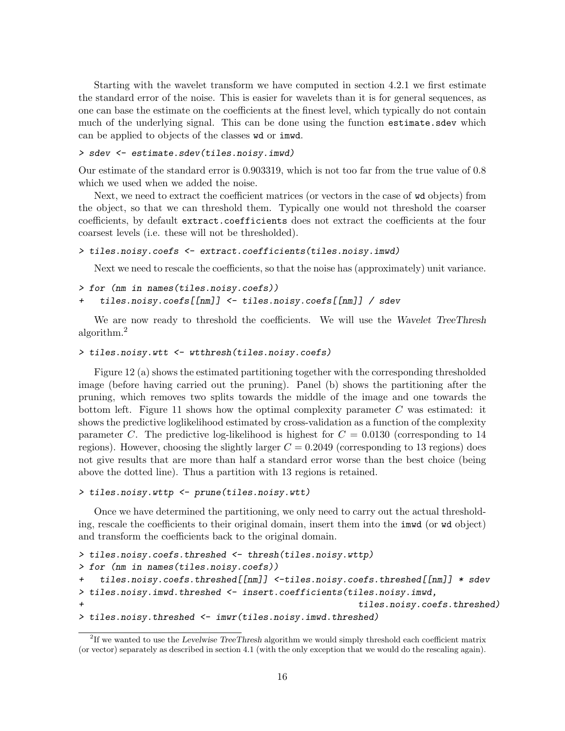Starting with the wavelet transform we have computed in section 4.2.1 we first estimate the standard error of the noise. This is easier for wavelets than it is for general sequences, as one can base the estimate on the coefficients at the finest level, which typically do not contain much of the underlying signal. This can be done using the function estimate.sdev which can be applied to objects of the classes wd or imwd.

#### > sdev <- estimate.sdev(tiles.noisy.imwd)

Our estimate of the standard error is 0.903319, which is not too far from the true value of 0.8 which we used when we added the noise.

Next, we need to extract the coefficient matrices (or vectors in the case of wd objects) from the object, so that we can threshold them. Typically one would not threshold the coarser coefficients, by default extract.coefficients does not extract the coefficients at the four coarsest levels (i.e. these will not be thresholded).

```
> tiles.noisy.coefs <- extract.coefficients(tiles.noisy.imwd)
```
Next we need to rescale the coefficients, so that the noise has (approximately) unit variance.

```
> for (nm in names(tiles.noisy.coefs))
```

```
tiles.noisy.coefs[[nm]] <- tiles.noisy.coefs[[nm]] / sdev
```
We are now ready to threshold the coefficients. We will use the Wavelet TreeThresh algorithm.<sup>2</sup>

```
> tiles.noisy.wtt <- wtthresh(tiles.noisy.coefs)
```
Figure 12 (a) shows the estimated partitioning together with the corresponding thresholded image (before having carried out the pruning). Panel (b) shows the partitioning after the pruning, which removes two splits towards the middle of the image and one towards the bottom left. Figure 11 shows how the optimal complexity parameter  $C$  was estimated: it shows the predictive loglikelihood estimated by cross-validation as a function of the complexity parameter C. The predictive log-likelihood is highest for  $C = 0.0130$  (corresponding to 14 regions). However, choosing the slightly larger  $C = 0.2049$  (corresponding to 13 regions) does not give results that are more than half a standard error worse than the best choice (being above the dotted line). Thus a partition with 13 regions is retained.

```
> tiles.noisy.wttp <- prune(tiles.noisy.wtt)
```
Once we have determined the partitioning, we only need to carry out the actual thresholding, rescale the coefficients to their original domain, insert them into the imwd (or wd object) and transform the coefficients back to the original domain.

```
> tiles.noisy.coefs.threshed <- thresh(tiles.noisy.wttp)
> for (nm in names(tiles.noisy.coefs))
+ tiles.noisy.coefs.threshed[[nm]] <-tiles.noisy.coefs.threshed[[nm]] * sdev
> tiles.noisy.imwd.threshed <- insert.coefficients(tiles.noisy.imwd,
+ tiles.noisy.coefs.threshed)
> tiles.noisy.threshed <- imwr(tiles.noisy.imwd.threshed)
```
<sup>&</sup>lt;sup>2</sup>If we wanted to use the Levelwise TreeThresh algorithm we would simply threshold each coefficient matrix (or vector) separately as described in section 4.1 (with the only exception that we would do the rescaling again).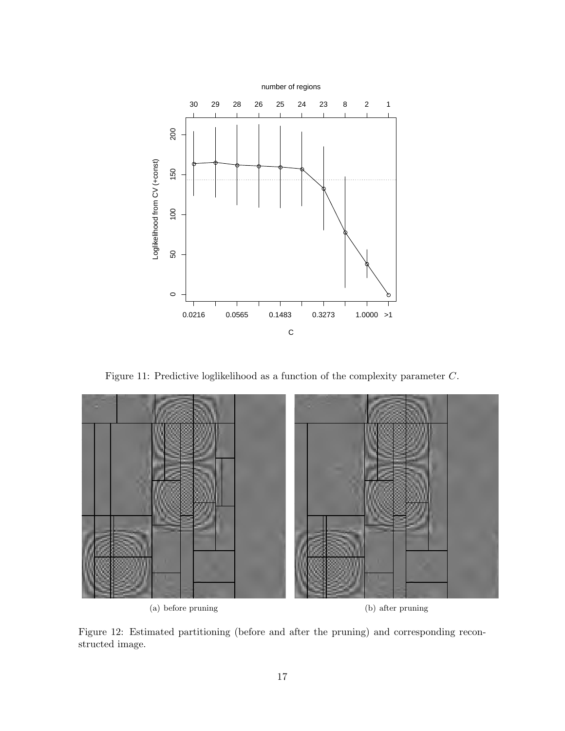

Figure 11: Predictive loglikelihood as a function of the complexity parameter C.



(a) before pruning (b) after pruning

Figure 12: Estimated partitioning (before and after the pruning) and corresponding reconstructed image.